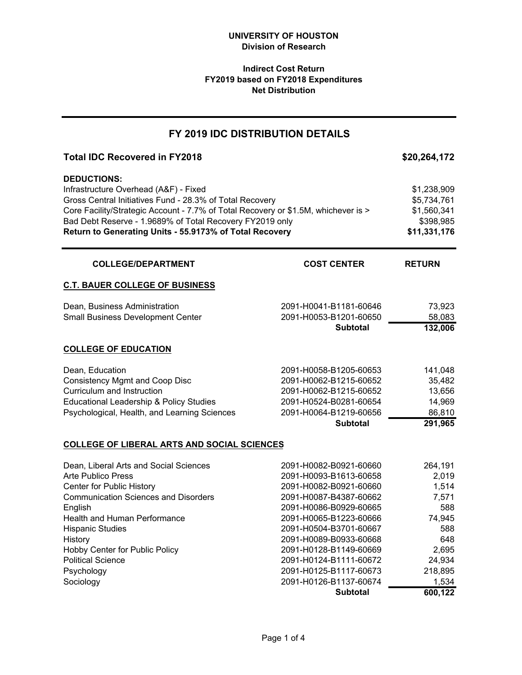# **Indirect Cost Return FY2019 based on FY2018 Expenditures Net Distribution**

# Total IDC Recovered in FY2018 **\$20,264,172 DEDUCTIONS:** Infrastructure Overhead (A&F) - Fixed \$1,238,909 \$1,238,909 Gross Central Initiatives Fund - 28.3% of Total Recovery **\$5,734,761** Core Facility/Strategic Account - 7.7% of Total Recovery or \$1.5M, whichever is > \$1,560,341 Bad Debt Reserve - 1.9689% of Total Recovery FY2019 only \$398,985 **Return to Generating Units - 55.9173% of Total Recovery <b>12.8 and State 311,331,176 RETURN C.T. BAUER COLLEGE OF BUSINESS** Dean, Business Administration 2091-H0041-B1181-60646 73,923 Small Business Development Center 2091-H0053-B1201-60650 58,083 **Subtotal 132,006 FY 2019 IDC DISTRIBUTION DETAILS COLLEGE/DEPARTMENT COST CENTER**

#### **COLLEGE OF EDUCATION**

|                                              | <b>Subtotal</b>        | 291,965 |
|----------------------------------------------|------------------------|---------|
| Psychological, Health, and Learning Sciences | 2091-H0064-B1219-60656 | 86.810  |
| Educational Leadership & Policy Studies      | 2091-H0524-B0281-60654 | 14.969  |
| Curriculum and Instruction                   | 2091-H0062-B1215-60652 | 13.656  |
| Consistency Mgmt and Coop Disc               | 2091-H0062-B1215-60652 | 35.482  |
| Dean, Education                              | 2091-H0058-B1205-60653 | 141.048 |

#### **COLLEGE OF LIBERAL ARTS AND SOCIAL SCIENCES**

| Dean, Liberal Arts and Social Sciences      | 2091-H0082-B0921-60660 | 264,191 |
|---------------------------------------------|------------------------|---------|
| Arte Publico Press                          | 2091-H0093-B1613-60658 | 2,019   |
| Center for Public History                   | 2091-H0082-B0921-60660 | 1,514   |
| <b>Communication Sciences and Disorders</b> | 2091-H0087-B4387-60662 | 7,571   |
| English                                     | 2091-H0086-B0929-60665 | 588     |
| <b>Health and Human Performance</b>         | 2091-H0065-B1223-60666 | 74,945  |
| <b>Hispanic Studies</b>                     | 2091-H0504-B3701-60667 | 588     |
| History                                     | 2091-H0089-B0933-60668 | 648     |
| Hobby Center for Public Policy              | 2091-H0128-B1149-60669 | 2.695   |
| <b>Political Science</b>                    | 2091-H0124-B1111-60672 | 24,934  |
| Psychology                                  | 2091-H0125-B1117-60673 | 218,895 |
| Sociology                                   | 2091-H0126-B1137-60674 | 1,534   |
|                                             | <b>Subtotal</b>        | 600,122 |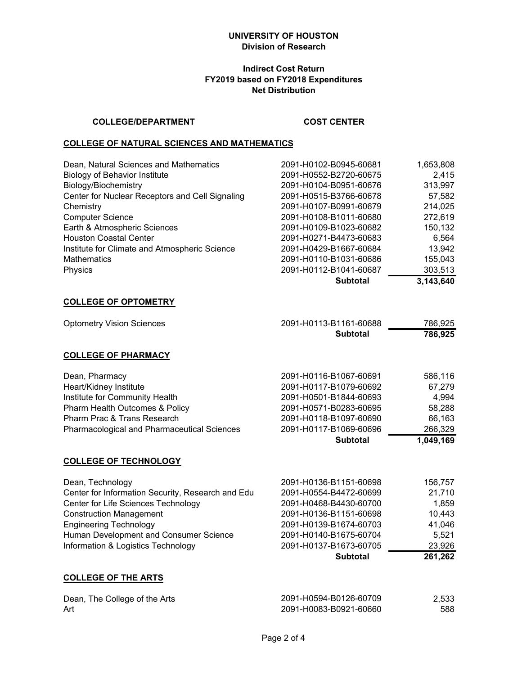## **Indirect Cost Return FY2019 based on FY2018 Expenditures Net Distribution**

### **COLLEGE/DEPARTMENT COST CENTER**

#### **COLLEGE OF NATURAL SCIENCES AND MATHEMATICS**

| 2091-H0110-B1031-60686<br>2091-H0112-B1041-60687 | 155,043<br>303,513 |
|--------------------------------------------------|--------------------|
|                                                  |                    |
|                                                  |                    |
| 2091-H0429-B1667-60684                           | 13,942             |
| 2091-H0271-B4473-60683                           | 6,564              |
| 2091-H0109-B1023-60682                           | 150,132            |
| 2091-H0108-B1011-60680                           | 272,619            |
| 2091-H0107-B0991-60679                           | 214,025            |
| 2091-H0515-B3766-60678                           | 57,582             |
| 2091-H0104-B0951-60676                           | 313,997            |
| 2091-H0552-B2720-60675                           | 2,415              |
| 2091-H0102-B0945-60681                           | 1,653,808          |
|                                                  |                    |

#### **COLLEGE OF OPTOMETRY**

| <b>Optometry Vision Sciences</b> | 2091-H0113-B1161-60688 | 786.925 |
|----------------------------------|------------------------|---------|
|                                  | <b>Subtotal</b>        | 786,925 |

# **COLLEGE OF PHARMACY**

| 2091-H0118-B1097-60690<br>2091-H0117-B1069-60696 | 66,163<br>266,329 |
|--------------------------------------------------|-------------------|
|                                                  |                   |
|                                                  |                   |
| 2091-H0571-B0283-60695                           | 58,288            |
| 2091-H0501-B1844-60693                           | 4.994             |
| 2091-H0117-B1079-60692                           | 67.279            |
| 2091-H0116-B1067-60691                           | 586.116           |
|                                                  |                   |

#### **COLLEGE OF TECHNOLOGY**

|                                                   | <b>Subtotal</b>        | 261,262 |
|---------------------------------------------------|------------------------|---------|
| Information & Logistics Technology                | 2091-H0137-B1673-60705 | 23,926  |
| Human Development and Consumer Science            | 2091-H0140-B1675-60704 | 5.521   |
| <b>Engineering Technology</b>                     | 2091-H0139-B1674-60703 | 41,046  |
| <b>Construction Management</b>                    | 2091-H0136-B1151-60698 | 10,443  |
| Center for Life Sciences Technology               | 2091-H0468-B4430-60700 | 1.859   |
| Center for Information Security, Research and Edu | 2091-H0554-B4472-60699 | 21,710  |
| Dean, Technology                                  | 2091-H0136-B1151-60698 | 156.757 |

# **COLLEGE OF THE ARTS**

| Dean, The College of the Arts | 2091-H0594-B0126-60709 | 2.533 |
|-------------------------------|------------------------|-------|
| Art                           | 2091-H0083-B0921-60660 | 588   |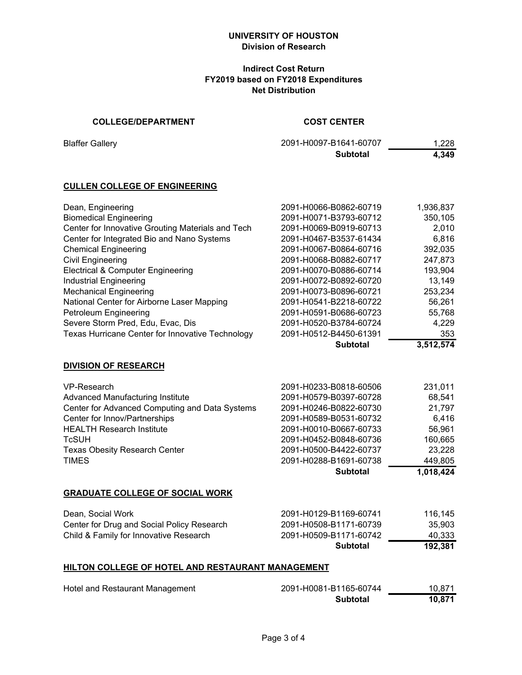### **Indirect Cost Return FY2019 based on FY2018 Expenditures Net Distribution**

# **COLLEGE/DEPARTMENT COST CENTER**

**Blaffer Gallery** 

| 2091-H0097-B1641-60707 | 1.228 |
|------------------------|-------|
| Subtotal               | 4,349 |

#### **CULLEN COLLEGE OF ENGINEERING**

|                                                   | <b>Subtotal</b>        | 3,512,574 |
|---------------------------------------------------|------------------------|-----------|
| Texas Hurricane Center for Innovative Technology  | 2091-H0512-B4450-61391 | 353       |
| Severe Storm Pred, Edu, Evac, Dis                 | 2091-H0520-B3784-60724 | 4,229     |
| Petroleum Engineering                             | 2091-H0591-B0686-60723 | 55,768    |
| National Center for Airborne Laser Mapping        | 2091-H0541-B2218-60722 | 56,261    |
| <b>Mechanical Engineering</b>                     | 2091-H0073-B0896-60721 | 253,234   |
| <b>Industrial Engineering</b>                     | 2091-H0072-B0892-60720 | 13,149    |
| Electrical & Computer Engineering                 | 2091-H0070-B0886-60714 | 193,904   |
| <b>Civil Engineering</b>                          | 2091-H0068-B0882-60717 | 247,873   |
| <b>Chemical Engineering</b>                       | 2091-H0067-B0864-60716 | 392,035   |
| Center for Integrated Bio and Nano Systems        | 2091-H0467-B3537-61434 | 6.816     |
| Center for Innovative Grouting Materials and Tech | 2091-H0069-B0919-60713 | 2,010     |
| <b>Biomedical Engineering</b>                     | 2091-H0071-B3793-60712 | 350,105   |
| Dean, Engineering                                 | 2091-H0066-B0862-60719 | 1,936,837 |

**DIVISION OF RESEARCH**

|                                                | <b>Subtotal</b>        | 1,018,424 |
|------------------------------------------------|------------------------|-----------|
| <b>TIMES</b>                                   | 2091-H0288-B1691-60738 | 449,805   |
| <b>Texas Obesity Research Center</b>           | 2091-H0500-B4422-60737 | 23,228    |
| <b>TcSUH</b>                                   | 2091-H0452-B0848-60736 | 160,665   |
| <b>HEALTH Research Institute</b>               | 2091-H0010-B0667-60733 | 56,961    |
| Center for Innov/Partnerships                  | 2091-H0589-B0531-60732 | 6,416     |
| Center for Advanced Computing and Data Systems | 2091-H0246-B0822-60730 | 21,797    |
| Advanced Manufacturing Institute               | 2091-H0579-B0397-60728 | 68,541    |
| VP-Research                                    | 2091-H0233-B0818-60506 | 231,011   |

#### **GRADUATE COLLEGE OF SOCIAL WORK**

| Dean, Social Work                          | 2091-H0129-B1169-60741 | 116.145 |
|--------------------------------------------|------------------------|---------|
| Center for Drug and Social Policy Research | 2091-H0508-B1171-60739 | 35.903  |
| Child & Family for Innovative Research     | 2091-H0509-B1171-60742 | 40.333  |
|                                            | Subtotal               | 192.381 |

#### **HILTON COLLEGE OF HOTEL AND RESTAURANT MANAGEMENT**

| Hotel and Restaurant Management | 2091-H0081-B1165-60744 | 10.871 |
|---------------------------------|------------------------|--------|
|                                 | <b>Subtotal</b>        | 10.871 |